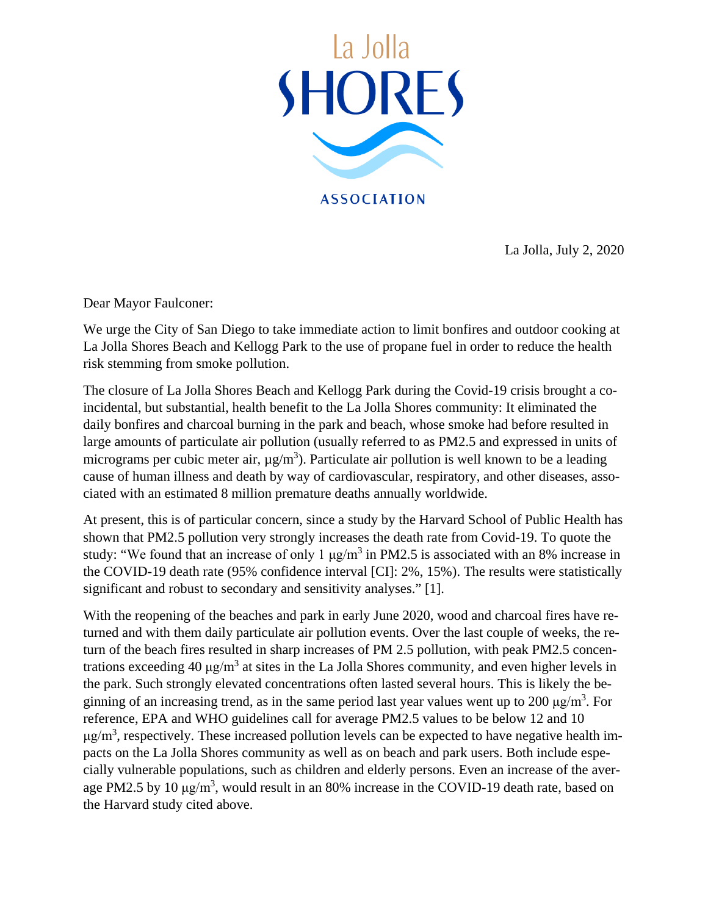

La Jolla, July 2, 2020

Dear Mayor Faulconer:

We urge the City of San Diego to take immediate action to limit bonfires and outdoor cooking at La Jolla Shores Beach and Kellogg Park to the use of propane fuel in order to reduce the health risk stemming from smoke pollution.

The closure of La Jolla Shores Beach and Kellogg Park during the Covid-19 crisis brought a coincidental, but substantial, health benefit to the La Jolla Shores community: It eliminated the daily bonfires and charcoal burning in the park and beach, whose smoke had before resulted in large amounts of particulate air pollution (usually referred to as PM2.5 and expressed in units of micrograms per cubic meter air,  $\mu$ g/m<sup>3</sup>). Particulate air pollution is well known to be a leading cause of human illness and death by way of cardiovascular, respiratory, and other diseases, associated with an estimated 8 million premature deaths annually worldwide.

At present, this is of particular concern, since a study by the Harvard School of Public Health has shown that PM2.5 pollution very strongly increases the death rate from Covid-19. To quote the study: "We found that an increase of only 1  $\mu$ g/m<sup>3</sup> in PM2.5 is associated with an 8% increase in the COVID-19 death rate (95% confidence interval [CI]: 2%, 15%). The results were statistically significant and robust to secondary and sensitivity analyses." [1].

With the reopening of the beaches and park in early June 2020, wood and charcoal fires have returned and with them daily particulate air pollution events. Over the last couple of weeks, the return of the beach fires resulted in sharp increases of PM 2.5 pollution, with peak PM2.5 concentrations exceeding 40  $\mu$ g/m<sup>3</sup> at sites in the La Jolla Shores community, and even higher levels in the park. Such strongly elevated concentrations often lasted several hours. This is likely the beginning of an increasing trend, as in the same period last year values went up to 200  $\mu$ g/m<sup>3</sup>. For reference, EPA and WHO guidelines call for average PM2.5 values to be below 12 and 10  $\mu$ g/m<sup>3</sup>, respectively. These increased pollution levels can be expected to have negative health impacts on the La Jolla Shores community as well as on beach and park users. Both include especially vulnerable populations, such as children and elderly persons. Even an increase of the average PM2.5 by 10  $\mu$ g/m<sup>3</sup>, would result in an 80% increase in the COVID-19 death rate, based on the Harvard study cited above.